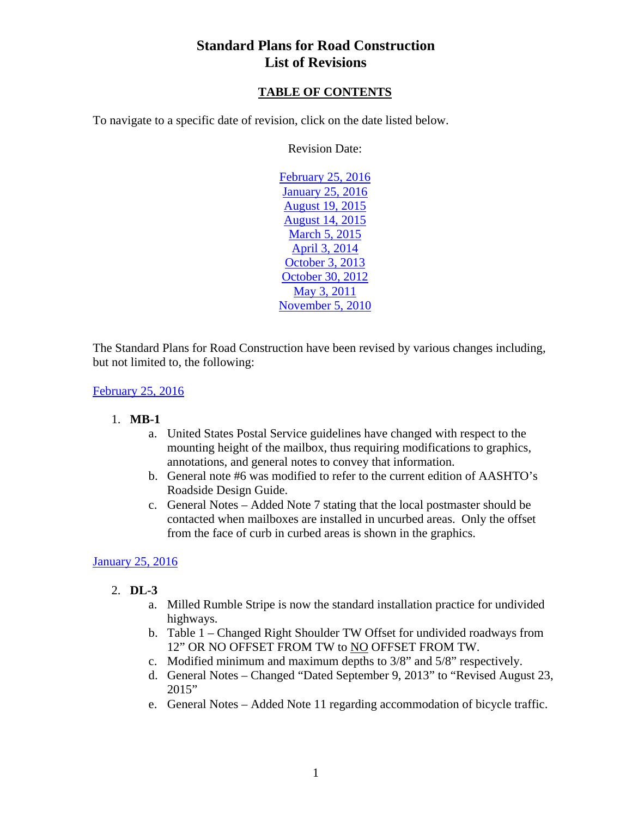## **TABLE OF CONTENTS**

<span id="page-0-0"></span>To navigate to a specific date of revision, click on the date listed below.

Revision Date:

February 25, 2016 January 25, 2016 [August 19, 2015](#page-1-0)  [August 14, 2015](#page-2-0)  [March 5, 2015](#page-3-0) [April 3, 2014](#page-3-0) [October 3, 2013](#page-4-0)  [October 30, 2012](#page-4-0)  [May 3, 2011](#page-5-0) [November 5, 2010](#page-5-0) 

The Standard Plans for Road Construction have been revised by various changes including, but not limited to, the following:

#### February 25, 2016

#### 1. **MB-1**

- a. United States Postal Service guidelines have changed with respect to the mounting height of the mailbox, thus requiring modifications to graphics, annotations, and general notes to convey that information.
- b. General note #6 was modified to refer to the current edition of AASHTO's Roadside Design Guide.
- c. General Notes Added Note 7 stating that the local postmaster should be contacted when mailboxes are installed in uncurbed areas. Only the offset from the face of curb in curbed areas is shown in the graphics.

### January 25, 2016

- 2. **DL-3**
	- a. Milled Rumble Stripe is now the standard installation practice for undivided highways.
	- b. Table 1 Changed Right Shoulder TW Offset for undivided roadways from 12" OR NO OFFSET FROM TW to NO OFFSET FROM TW.
	- c. Modified minimum and maximum depths to 3/8" and 5/8" respectively.
	- d. General Notes Changed "Dated September 9, 2013" to "Revised August 23, 2015"
	- e. General Notes Added Note 11 regarding accommodation of bicycle traffic.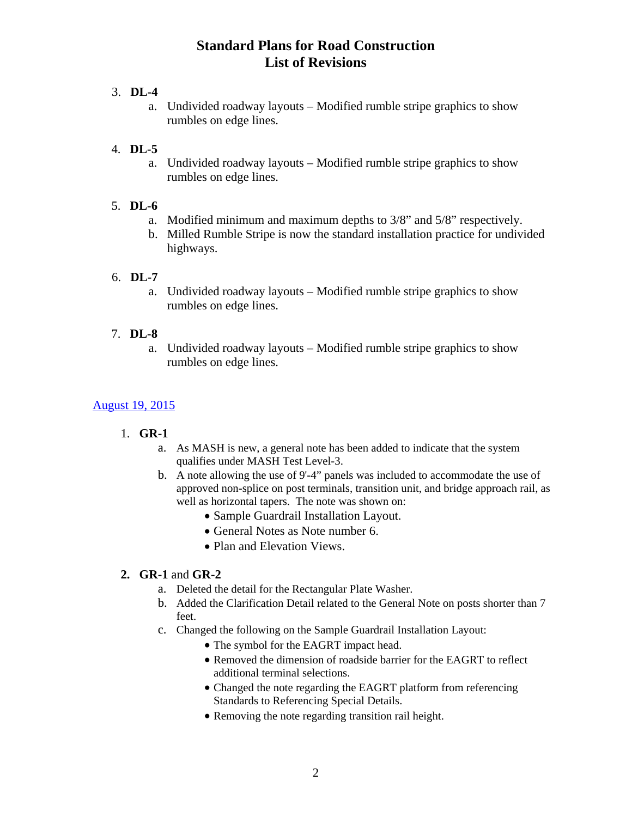# <span id="page-1-0"></span>3. **DL-4**

a. Undivided roadway layouts – Modified rumble stripe graphics to show rumbles on edge lines.

## 4. **DL-5**

a. Undivided roadway layouts – Modified rumble stripe graphics to show rumbles on edge lines.

## 5. **DL-6**

- a. Modified minimum and maximum depths to 3/8" and 5/8" respectively.
- b. Milled Rumble Stripe is now the standard installation practice for undivided highways.

## 6. **DL-7**

a. Undivided roadway layouts – Modified rumble stripe graphics to show rumbles on edge lines.

## 7. **DL-8**

a. Undivided roadway layouts – Modified rumble stripe graphics to show rumbles on edge lines.

# [August 19, 2015](#page-0-0)

### 1. **GR-1**

- a. As MASH is new, a general note has been added to indicate that the system qualifies under MASH Test Level-3.
- b. A note allowing the use of 9'-4" panels was included to accommodate the use of approved non-splice on post terminals, transition unit, and bridge approach rail, as well as horizontal tapers. The note was shown on:
	- Sample Guardrail Installation Layout.
	- General Notes as Note number 6.
	- Plan and Elevation Views.

# **2. GR-1** and **GR-2**

- a. Deleted the detail for the Rectangular Plate Washer.
- b. Added the Clarification Detail related to the General Note on posts shorter than 7 feet.
- c. Changed the following on the Sample Guardrail Installation Layout:
	- The symbol for the EAGRT impact head.
	- Removed the dimension of roadside barrier for the EAGRT to reflect additional terminal selections.
	- Changed the note regarding the EAGRT platform from referencing Standards to Referencing Special Details.
	- Removing the note regarding transition rail height.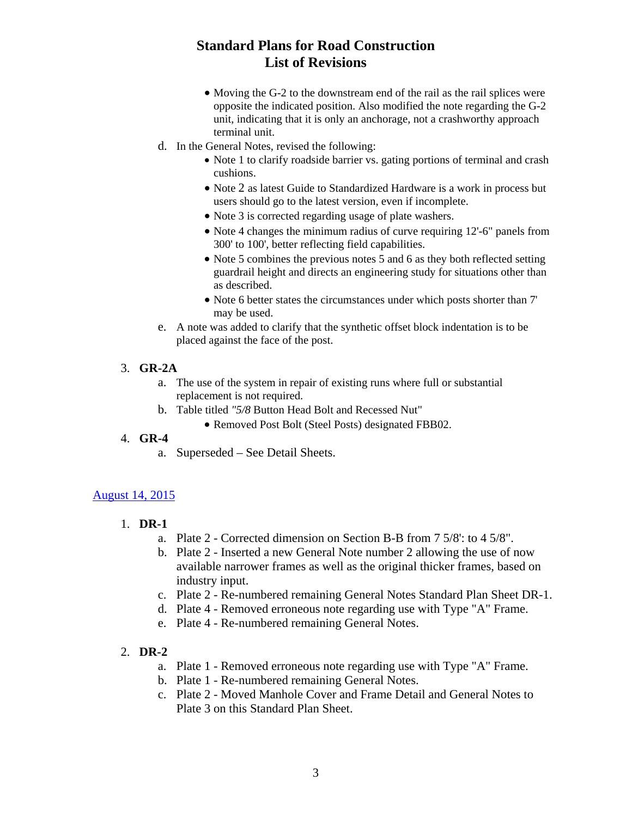- Moving the G-2 to the downstream end of the rail as the rail splices were opposite the indicated position. Also modified the note regarding the G-2 unit, indicating that it is only an anchorage, not a crashworthy approach terminal unit.
- <span id="page-2-0"></span>d. In the General Notes, revised the following:
	- Note 1 to clarify roadside barrier vs. gating portions of terminal and crash cushions.
	- Note 2 as latest Guide to Standardized Hardware is a work in process but users should go to the latest version, even if incomplete.
	- Note 3 is corrected regarding usage of plate washers.
	- Note 4 changes the minimum radius of curve requiring 12'-6" panels from 300' to 100', better reflecting field capabilities.
	- Note 5 combines the previous notes 5 and 6 as they both reflected setting guardrail height and directs an engineering study for situations other than as described.
	- Note 6 better states the circumstances under which posts shorter than 7' may be used.
- e. A note was added to clarify that the synthetic offset block indentation is to be placed against the face of the post.

#### 3. **GR-2A**

- a. The use of the system in repair of existing runs where full or substantial replacement is not required.
- b. Table titled *"5/8* Button Head Bolt and Recessed Nut"
	- Removed Post Bolt (Steel Posts) designated FBB02.

#### 4. **GR-4**

a. Superseded – See Detail Sheets.

#### [August 14, 2015](#page-0-0)

- 1. **DR-1**
	- a. Plate 2 Corrected dimension on Section B-B from 7 5/8': to 4 5/8".
	- b. Plate 2 Inserted a new General Note number 2 allowing the use of now available narrower frames as well as the original thicker frames, based on industry input.
	- c. Plate 2 Re-numbered remaining General Notes Standard Plan Sheet DR-1.
	- d. Plate 4 Removed erroneous note regarding use with Type "A" Frame.
	- e. Plate 4 Re-numbered remaining General Notes.

#### 2. **DR-2**

- a. Plate 1 Removed erroneous note regarding use with Type "A" Frame.
- b. Plate 1 Re-numbered remaining General Notes.
- c. Plate 2 Moved Manhole Cover and Frame Detail and General Notes to Plate 3 on this Standard Plan Sheet.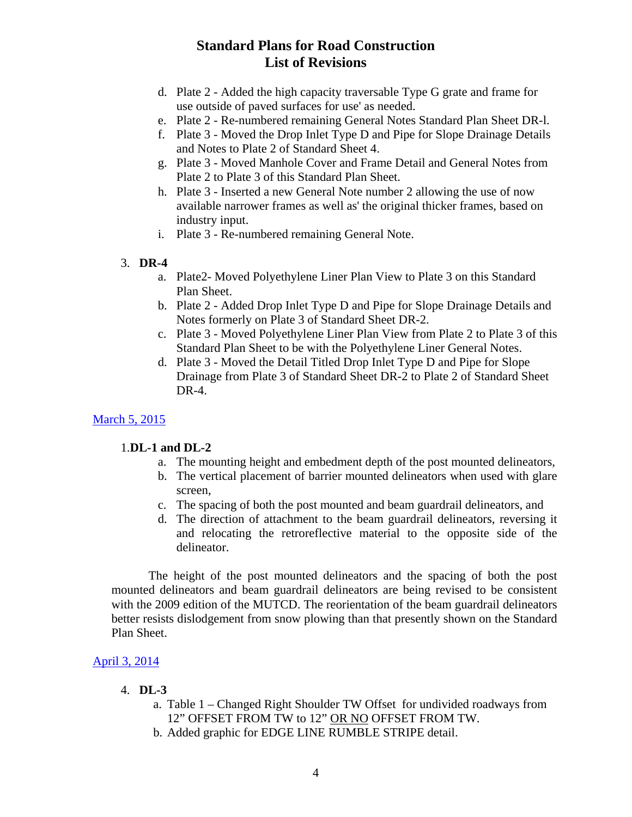- <span id="page-3-0"></span>d. Plate 2 - Added the high capacity traversable Type G grate and frame for use outside of paved surfaces for use' as needed.
- e. Plate 2 Re-numbered remaining General Notes Standard Plan Sheet DR-l.
- f. Plate 3 Moved the Drop Inlet Type D and Pipe for Slope Drainage Details and Notes to Plate 2 of Standard Sheet 4.
- g. Plate 3 Moved Manhole Cover and Frame Detail and General Notes from Plate 2 to Plate 3 of this Standard Plan Sheet.
- h. Plate 3 Inserted a new General Note number 2 allowing the use of now available narrower frames as well as' the original thicker frames, based on industry input.
- i. Plate 3 Re-numbered remaining General Note.

#### 3. **DR-4**

- a. Plate2- Moved Polyethylene Liner Plan View to Plate 3 on this Standard Plan Sheet.
- b. Plate 2 Added Drop Inlet Type D and Pipe for Slope Drainage Details and Notes formerly on Plate 3 of Standard Sheet DR-2.
- c. Plate 3 Moved Polyethylene Liner Plan View from Plate 2 to Plate 3 of this Standard Plan Sheet to be with the Polyethylene Liner General Notes.
- d. Plate 3 Moved the Detail Titled Drop Inlet Type D and Pipe for Slope Drainage from Plate 3 of Standard Sheet DR-2 to Plate 2 of Standard Sheet DR-4.

### [March 5, 2015](#page-0-0)

#### 1.**DL-1 and DL-2**

- a. The mounting height and embedment depth of the post mounted delineators,
- b. The vertical placement of barrier mounted delineators when used with glare screen,
- c. The spacing of both the post mounted and beam guardrail delineators, and
- d. The direction of attachment to the beam guardrail delineators, reversing it and relocating the retroreflective material to the opposite side of the delineator.

 The height of the post mounted delineators and the spacing of both the post mounted delineators and beam guardrail delineators are being revised to be consistent with the 2009 edition of the MUTCD. The reorientation of the beam guardrail delineators better resists dislodgement from snow plowing than that presently shown on the Standard Plan Sheet.

### [April 3, 2014](#page-0-0)

#### 4. **DL-3**

- a. Table 1 Changed Right Shoulder TW Offset for undivided roadways from 12" OFFSET FROM TW to 12" OR NO OFFSET FROM TW.
- b. Added graphic for EDGE LINE RUMBLE STRIPE detail.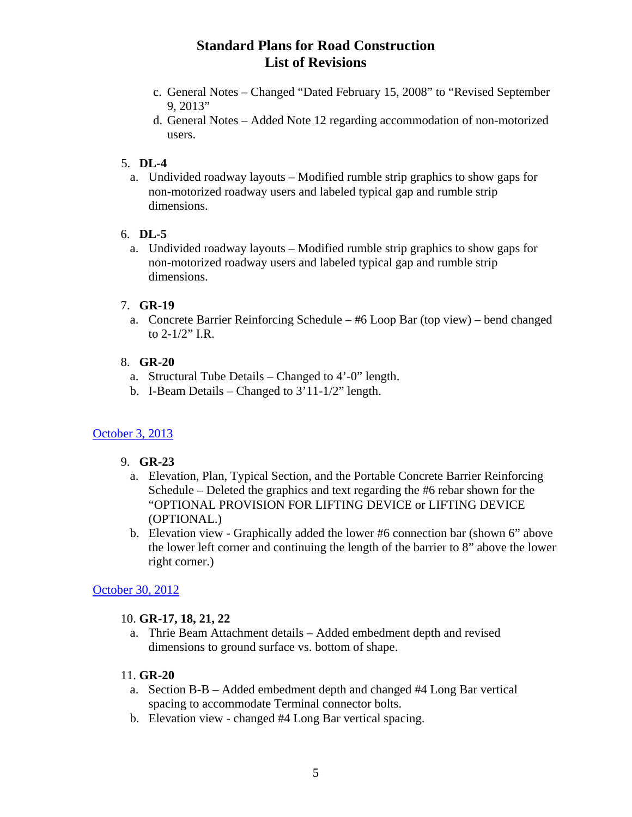- <span id="page-4-0"></span>c. General Notes – Changed "Dated February 15, 2008" to "Revised September 9, 2013"
- d. General Notes Added Note 12 regarding accommodation of non-motorized users.

### 5. **DL-4**

a. Undivided roadway layouts – Modified rumble strip graphics to show gaps for non-motorized roadway users and labeled typical gap and rumble strip dimensions.

### 6. **DL-5**

a. Undivided roadway layouts – Modified rumble strip graphics to show gaps for non-motorized roadway users and labeled typical gap and rumble strip dimensions.

## 7. **GR-19**

a. Concrete Barrier Reinforcing Schedule – #6 Loop Bar (top view) – bend changed to 2-1/2" I.R.

## 8. **GR-20**

- a. Structural Tube Details Changed to 4'-0" length.
- b. I-Beam Details Changed to 3'11-1/2" length.

# [October 3, 2013](#page-0-0)

### 9. **GR-23**

- a. Elevation, Plan, Typical Section, and the Portable Concrete Barrier Reinforcing Schedule – Deleted the graphics and text regarding the #6 rebar shown for the "OPTIONAL PROVISION FOR LIFTING DEVICE or LIFTING DEVICE (OPTIONAL.)
- b. Elevation view Graphically added the lower #6 connection bar (shown 6" above the lower left corner and continuing the length of the barrier to 8" above the lower right corner.)

# [October 30, 2012](#page-0-0)

# 10. **GR-17, 18, 21, 22**

a. Thrie Beam Attachment details – Added embedment depth and revised dimensions to ground surface vs. bottom of shape.

# 11. **GR-20**

- a. Section B-B Added embedment depth and changed #4 Long Bar vertical spacing to accommodate Terminal connector bolts.
- b. Elevation view changed #4 Long Bar vertical spacing.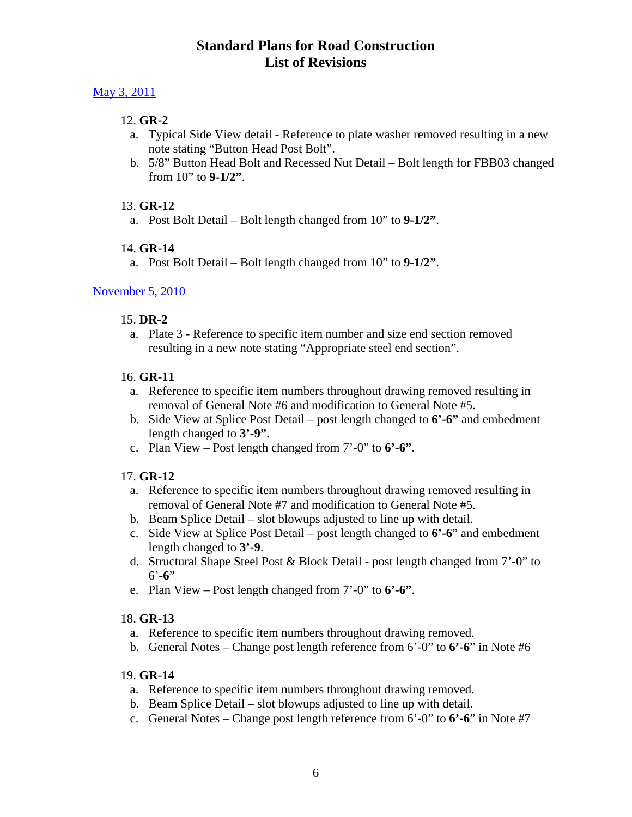### <span id="page-5-0"></span>[May 3, 2011](#page-0-0)

## 12. **GR-2**

- a. Typical Side View detail Reference to plate washer removed resulting in a new note stating "Button Head Post Bolt".
- b. 5/8" Button Head Bolt and Recessed Nut Detail Bolt length for FBB03 changed from 10" to **9-1/2"**.

### 13. **GR-12**

a. Post Bolt Detail – Bolt length changed from 10" to **9-1/2"**.

## 14. **GR-14**

a. Post Bolt Detail – Bolt length changed from 10" to **9-1/2"**.

## [November 5, 2010](#page-0-0)

### 15. **DR-2**

a. Plate 3 - Reference to specific item number and size end section removed resulting in a new note stating "Appropriate steel end section".

### 16. **GR-11**

- a. Reference to specific item numbers throughout drawing removed resulting in removal of General Note #6 and modification to General Note #5.
- b. Side View at Splice Post Detail post length changed to **6'-6"** and embedment length changed to **3'-9"**.
- c. Plan View Post length changed from 7'-0" to **6'-6"**.

# 17. **GR-12**

- a. Reference to specific item numbers throughout drawing removed resulting in removal of General Note #7 and modification to General Note #5.
- b. Beam Splice Detail slot blowups adjusted to line up with detail.
- c. Side View at Splice Post Detail post length changed to **6'-6**" and embedment length changed to **3'-9**.
- d. Structural Shape Steel Post & Block Detail post length changed from 7'-0" to 6'-**6**"
- e. Plan View Post length changed from 7'-0" to **6'-6"**.

### 18. **GR-13**

- a. Reference to specific item numbers throughout drawing removed.
- b. General Notes Change post length reference from 6'-0" to **6'-6**" in Note #6

### 19. **GR-14**

- a. Reference to specific item numbers throughout drawing removed.
- b. Beam Splice Detail slot blowups adjusted to line up with detail.
- c. General Notes Change post length reference from 6'-0" to **6'-6**" in Note #7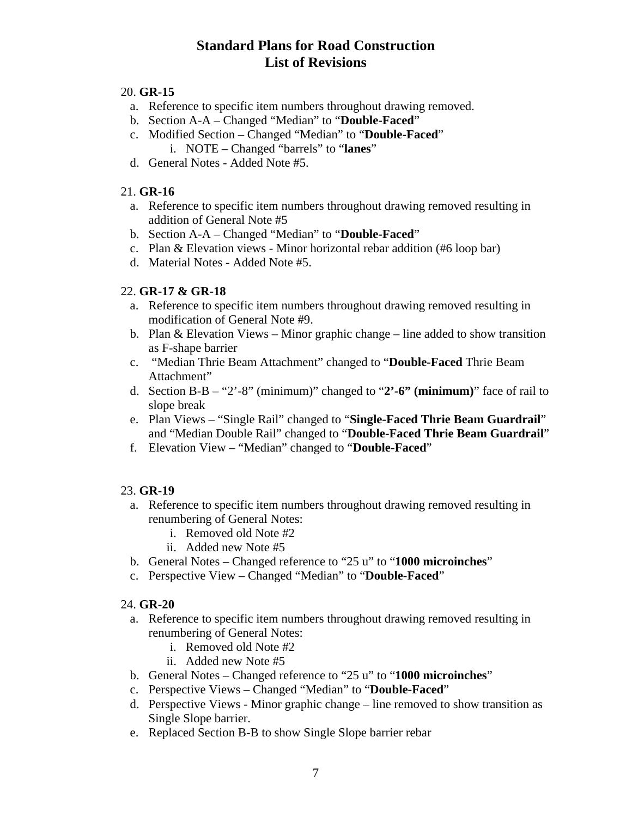#### 20. **GR-15**

- a. Reference to specific item numbers throughout drawing removed.
- b. Section A-A Changed "Median" to "**Double-Faced**"
- c. Modified Section Changed "Median" to "**Double-Faced**" i. NOTE – Changed "barrels" to "**lanes**"
- d. General Notes Added Note #5.

## 21. **GR-16**

- a. Reference to specific item numbers throughout drawing removed resulting in addition of General Note #5
- b. Section A-A Changed "Median" to "**Double-Faced**"
- c. Plan & Elevation views Minor horizontal rebar addition (#6 loop bar)
- d. Material Notes Added Note #5.

### 22. **GR-17 & GR-18**

- a. Reference to specific item numbers throughout drawing removed resulting in modification of General Note #9.
- b. Plan & Elevation Views Minor graphic change line added to show transition as F-shape barrier
- c. "Median Thrie Beam Attachment" changed to "**Double-Faced** Thrie Beam Attachment"
- d. Section B-B "2'-8" (minimum)" changed to "**2'-6" (minimum)**" face of rail to slope break
- e. Plan Views "Single Rail" changed to "**Single-Faced Thrie Beam Guardrail**" and "Median Double Rail" changed to "**Double-Faced Thrie Beam Guardrail**"
- f. Elevation View "Median" changed to "**Double-Faced**"

### 23. **GR-19**

- a. Reference to specific item numbers throughout drawing removed resulting in renumbering of General Notes:
	- i. Removed old Note #2
	- ii. Added new Note #5
- b. General Notes Changed reference to "25 u" to "**1000 microinches**"
- c. Perspective View Changed "Median" to "**Double-Faced**"

### 24. **GR-20**

- a. Reference to specific item numbers throughout drawing removed resulting in renumbering of General Notes:
	- i. Removed old Note #2
	- ii. Added new Note #5
- b. General Notes Changed reference to "25 u" to "**1000 microinches**"
- c. Perspective Views Changed "Median" to "**Double-Faced**"
- d. Perspective Views Minor graphic change line removed to show transition as Single Slope barrier.
- e. Replaced Section B-B to show Single Slope barrier rebar